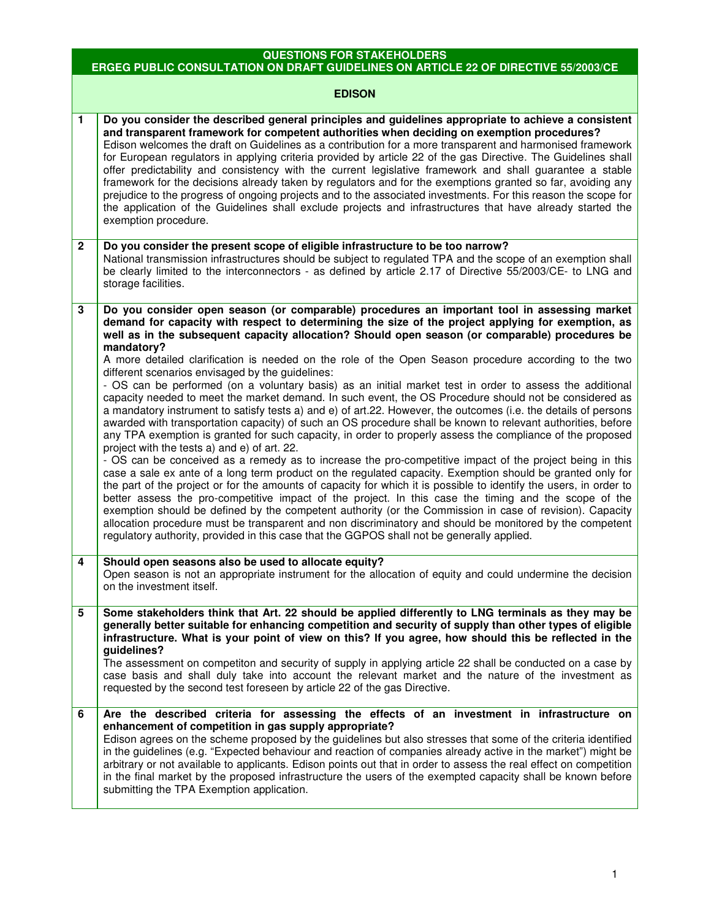## **QUESTIONS FOR STAKEHOLDERS**

## **ERGEG PUBLIC CONSULTATION ON DRAFT GUIDELINES ON ARTICLE 22 OF DIRECTIVE 55/2003/CE**

## **EDISON**

| $\mathbf{1}$ | Do you consider the described general principles and guidelines appropriate to achieve a consistent<br>and transparent framework for competent authorities when deciding on exemption procedures?<br>Edison welcomes the draft on Guidelines as a contribution for a more transparent and harmonised framework<br>for European regulators in applying criteria provided by article 22 of the gas Directive. The Guidelines shall<br>offer predictability and consistency with the current legislative framework and shall guarantee a stable<br>framework for the decisions already taken by regulators and for the exemptions granted so far, avoiding any<br>prejudice to the progress of ongoing projects and to the associated investments. For this reason the scope for<br>the application of the Guidelines shall exclude projects and infrastructures that have already started the<br>exemption procedure.                                                                                                                                                                                                                                                                                                                                                                                                                                                                                                                                                                                                                                                                                                                                                                                                                                                                                                                                                                    |
|--------------|----------------------------------------------------------------------------------------------------------------------------------------------------------------------------------------------------------------------------------------------------------------------------------------------------------------------------------------------------------------------------------------------------------------------------------------------------------------------------------------------------------------------------------------------------------------------------------------------------------------------------------------------------------------------------------------------------------------------------------------------------------------------------------------------------------------------------------------------------------------------------------------------------------------------------------------------------------------------------------------------------------------------------------------------------------------------------------------------------------------------------------------------------------------------------------------------------------------------------------------------------------------------------------------------------------------------------------------------------------------------------------------------------------------------------------------------------------------------------------------------------------------------------------------------------------------------------------------------------------------------------------------------------------------------------------------------------------------------------------------------------------------------------------------------------------------------------------------------------------------------------------------|
| $\mathbf{2}$ | Do you consider the present scope of eligible infrastructure to be too narrow?<br>National transmission infrastructures should be subject to regulated TPA and the scope of an exemption shall<br>be clearly limited to the interconnectors - as defined by article 2.17 of Directive 55/2003/CE- to LNG and<br>storage facilities.                                                                                                                                                                                                                                                                                                                                                                                                                                                                                                                                                                                                                                                                                                                                                                                                                                                                                                                                                                                                                                                                                                                                                                                                                                                                                                                                                                                                                                                                                                                                                    |
| 3            | Do you consider open season (or comparable) procedures an important tool in assessing market<br>demand for capacity with respect to determining the size of the project applying for exemption, as<br>well as in the subsequent capacity allocation? Should open season (or comparable) procedures be<br>mandatory?<br>A more detailed clarification is needed on the role of the Open Season procedure according to the two<br>different scenarios envisaged by the guidelines:<br>- OS can be performed (on a voluntary basis) as an initial market test in order to assess the additional<br>capacity needed to meet the market demand. In such event, the OS Procedure should not be considered as<br>a mandatory instrument to satisfy tests a) and e) of art.22. However, the outcomes (i.e. the details of persons<br>awarded with transportation capacity) of such an OS procedure shall be known to relevant authorities, before<br>any TPA exemption is granted for such capacity, in order to properly assess the compliance of the proposed<br>project with the tests a) and e) of art. 22.<br>- OS can be conceived as a remedy as to increase the pro-competitive impact of the project being in this<br>case a sale ex ante of a long term product on the regulated capacity. Exemption should be granted only for<br>the part of the project or for the amounts of capacity for which it is possible to identify the users, in order to<br>better assess the pro-competitive impact of the project. In this case the timing and the scope of the<br>exemption should be defined by the competent authority (or the Commission in case of revision). Capacity<br>allocation procedure must be transparent and non discriminatory and should be monitored by the competent<br>regulatory authority, provided in this case that the GGPOS shall not be generally applied. |
| 4            | Should open seasons also be used to allocate equity?<br>Open season is not an appropriate instrument for the allocation of equity and could undermine the decision<br>on the investment itself.                                                                                                                                                                                                                                                                                                                                                                                                                                                                                                                                                                                                                                                                                                                                                                                                                                                                                                                                                                                                                                                                                                                                                                                                                                                                                                                                                                                                                                                                                                                                                                                                                                                                                        |
| 5            | Some stakeholders think that Art. 22 should be applied differently to LNG terminals as they may be<br>generally better suitable for enhancing competition and security of supply than other types of eligible<br>infrastructure. What is your point of view on this? If you agree, how should this be reflected in the<br>guidelines?<br>The assessment on competiton and security of supply in applying article 22 shall be conducted on a case by<br>case basis and shall duly take into account the relevant market and the nature of the investment as<br>requested by the second test foreseen by article 22 of the gas Directive.                                                                                                                                                                                                                                                                                                                                                                                                                                                                                                                                                                                                                                                                                                                                                                                                                                                                                                                                                                                                                                                                                                                                                                                                                                                |
| 6            | Are the described criteria for assessing the effects of an investment in infrastructure on<br>enhancement of competition in gas supply appropriate?<br>Edison agrees on the scheme proposed by the guidelines but also stresses that some of the criteria identified<br>in the guidelines (e.g. "Expected behaviour and reaction of companies already active in the market") might be<br>arbitrary or not available to applicants. Edison points out that in order to assess the real effect on competition<br>in the final market by the proposed infrastructure the users of the exempted capacity shall be known before<br>submitting the TPA Exemption application.                                                                                                                                                                                                                                                                                                                                                                                                                                                                                                                                                                                                                                                                                                                                                                                                                                                                                                                                                                                                                                                                                                                                                                                                                |